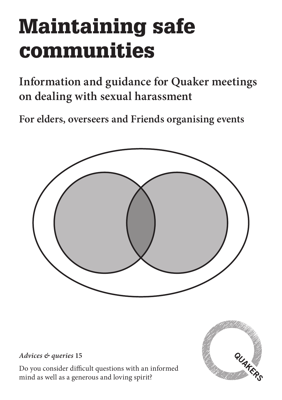# Maintaining safe communities

**Information and guidance for Quaker meetings on dealing with sexual harassment**

**For elders, overseers and Friends organising events**



*Advices & queries* **15**

Do you consider difficult questions with an informed mind as well as a generous and loving spirit?

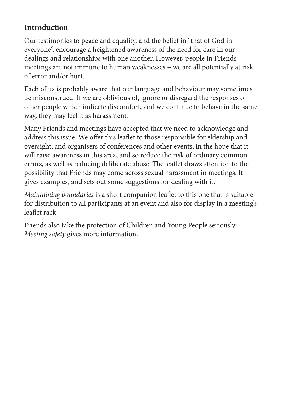#### **Introduction**

Our testimonies to peace and equality, and the belief in "that of God in everyone", encourage a heightened awareness of the need for care in our dealings and relationships with one another. However, people in Friends meetings are not immune to human weaknesses – we are all potentially at risk of error and/or hurt.

Each of us is probably aware that our language and behaviour may sometimes be misconstrued. If we are oblivious of, ignore or disregard the responses of other people which indicate discomfort, and we continue to behave in the same way, they may feel it as harassment.

Many Friends and meetings have accepted that we need to acknowledge and address this issue. We offer this leaflet to those responsible for eldership and oversight, and organisers of conferences and other events, in the hope that it will raise awareness in this area, and so reduce the risk of ordinary common errors, as well as reducing deliberate abuse. The leaflet draws attention to the possibility that Friends may come across sexual harassment in meetings. It gives examples, and sets out some suggestions for dealing with it.

*Maintaining boundaries* is a short companion leaflet to this one that is suitable for distribution to all participants at an event and also for display in a meeting's leaflet rack.

Friends also take the protection of Children and Young People seriously: *Meeting safety* gives more information.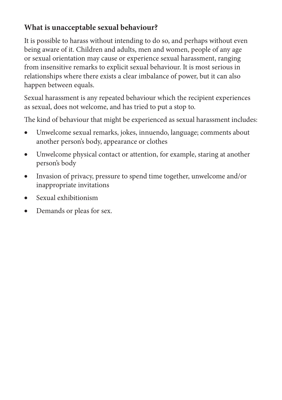## **What is unacceptable sexual behaviour?**

It is possible to harass without intending to do so, and perhaps without even being aware of it. Children and adults, men and women, people of any age or sexual orientation may cause or experience sexual harassment, ranging from insensitive remarks to explicit sexual behaviour. It is most serious in relationships where there exists a clear imbalance of power, but it can also happen between equals.

Sexual harassment is any repeated behaviour which the recipient experiences as sexual, does not welcome, and has tried to put a stop to.

The kind of behaviour that might be experienced as sexual harassment includes:

- • Unwelcome sexual remarks, jokes, innuendo, language; comments about another person's body, appearance or clothes
- Unwelcome physical contact or attention, for example, staring at another person's body
- Invasion of privacy, pressure to spend time together, unwelcome and/or inappropriate invitations
- Sexual exhibitionism
- Demands or pleas for sex.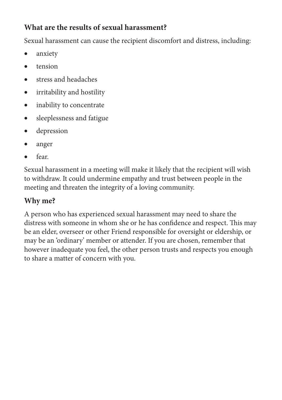## **What are the results of sexual harassment?**

Sexual harassment can cause the recipient discomfort and distress, including:

- anxiety
- tension
- stress and headaches
- irritability and hostility
- inability to concentrate
- sleeplessness and fatigue
- • depression
- anger
- fear.

Sexual harassment in a meeting will make it likely that the recipient will wish to withdraw. It could undermine empathy and trust between people in the meeting and threaten the integrity of a loving community.

# **Why me?**

A person who has experienced sexual harassment may need to share the distress with someone in whom she or he has confidence and respect. This may be an elder, overseer or other Friend responsible for oversight or eldership, or may be an 'ordinary' member or attender. If you are chosen, remember that however inadequate you feel, the other person trusts and respects you enough to share a matter of concern with you.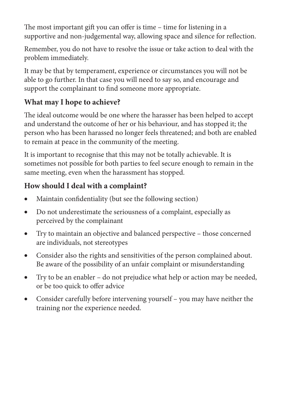The most important gift you can offer is time – time for listening in a supportive and non-judgemental way, allowing space and silence for reflection.

Remember, you do not have to resolve the issue or take action to deal with the problem immediately.

It may be that by temperament, experience or circumstances you will not be able to go further. In that case you will need to say so, and encourage and support the complainant to find someone more appropriate.

#### **What may I hope to achieve?**

The ideal outcome would be one where the harasser has been helped to accept and understand the outcome of her or his behaviour, and has stopped it; the person who has been harassed no longer feels threatened; and both are enabled to remain at peace in the community of the meeting.

It is important to recognise that this may not be totally achievable. It is sometimes not possible for both parties to feel secure enough to remain in the same meeting, even when the harassment has stopped.

#### **How should I deal with a complaint?**

- Maintain confidentiality (but see the following section)
- • Do not underestimate the seriousness of a complaint, especially as perceived by the complainant
- Try to maintain an objective and balanced perspective those concerned are individuals, not stereotypes
- • Consider also the rights and sensitivities of the person complained about. Be aware of the possibility of an unfair complaint or misunderstanding
- Try to be an enabler do not prejudice what help or action may be needed, or be too quick to offer advice
- Consider carefully before intervening yourself you may have neither the training nor the experience needed.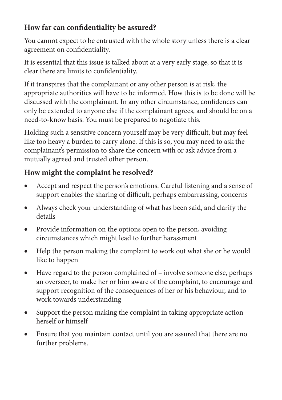#### **How far can confidentiality be assured?**

You cannot expect to be entrusted with the whole story unless there is a clear agreement on confidentiality.

It is essential that this issue is talked about at a very early stage, so that it is clear there are limits to confidentiality.

If it transpires that the complainant or any other person is at risk, the appropriate authorities will have to be informed. How this is to be done will be discussed with the complainant. In any other circumstance, confidences can only be extended to anyone else if the complainant agrees, and should be on a need-to-know basis. You must be prepared to negotiate this.

Holding such a sensitive concern yourself may be very difficult, but may feel like too heavy a burden to carry alone. If this is so, you may need to ask the complainant's permission to share the concern with or ask advice from a mutually agreed and trusted other person.

## **How might the complaint be resolved?**

- Accept and respect the person's emotions. Careful listening and a sense of support enables the sharing of difficult, perhaps embarrassing, concerns
- Always check your understanding of what has been said, and clarify the details
- Provide information on the options open to the person, avoiding circumstances which might lead to further harassment
- Help the person making the complaint to work out what she or he would like to happen
- Have regard to the person complained of involve someone else, perhaps an overseer, to make her or him aware of the complaint, to encourage and support recognition of the consequences of her or his behaviour, and to work towards understanding
- Support the person making the complaint in taking appropriate action herself or himself
- Ensure that you maintain contact until you are assured that there are no further problems.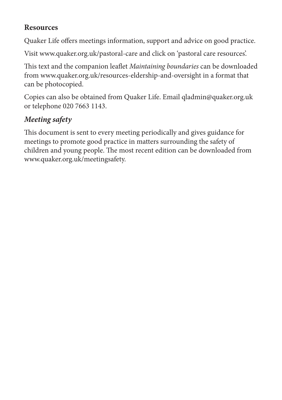#### **Resources**

Quaker Life offers meetings information, support and advice on good practice.

Visit www.quaker.org.uk/pastoral-care and click on 'pastoral care resources'.

This text and the companion leaflet *Maintaining boundaries* can be downloaded from www.quaker.org.uk/resources-eldership-and-oversight in a format that can be photocopied.

Copies can also be obtained from Quaker Life. Email qladmin@quaker.org.uk or telephone 020 7663 1143.

# *Meeting safety*

This document is sent to every meeting periodically and gives guidance for meetings to promote good practice in matters surrounding the safety of children and young people. The most recent edition can be downloaded from www.quaker.org.uk/meetingsafety.